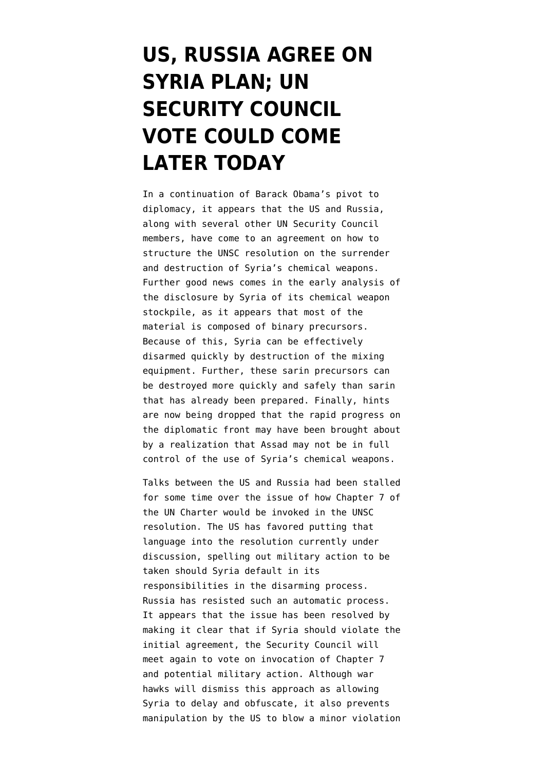## **[US, RUSSIA AGREE ON](https://www.emptywheel.net/2013/09/27/us-russia-agree-on-sryia-plan-un-security-council-vote-could-come-later-today/) [SYRIA PLAN; UN](https://www.emptywheel.net/2013/09/27/us-russia-agree-on-sryia-plan-un-security-council-vote-could-come-later-today/) [SECURITY COUNCIL](https://www.emptywheel.net/2013/09/27/us-russia-agree-on-sryia-plan-un-security-council-vote-could-come-later-today/) [VOTE COULD COME](https://www.emptywheel.net/2013/09/27/us-russia-agree-on-sryia-plan-un-security-council-vote-could-come-later-today/) [LATER TODAY](https://www.emptywheel.net/2013/09/27/us-russia-agree-on-sryia-plan-un-security-council-vote-could-come-later-today/)**

In a continuation of Barack Obama's [pivot to](http://www.emptywheel.net/2013/09/24/speaking-at-un-obama-tries-to-claim-he-was-always-for-diplomacy-in-syria/) [diplomacy,](http://www.emptywheel.net/2013/09/24/speaking-at-un-obama-tries-to-claim-he-was-always-for-diplomacy-in-syria/) it appears that the US and Russia, along with several other UN Security Council members, have come to an agreement on how to structure the UNSC resolution on the surrender and destruction of Syria's chemical weapons. Further good news comes in the early analysis of the disclosure by Syria of its chemical weapon stockpile, as it appears that most of the material is composed of binary precursors. Because of this, Syria can be effectively disarmed quickly by destruction of the mixing equipment. Further, these sarin precursors can be destroyed more quickly and safely than sarin that has already been prepared. Finally, hints are now being dropped that the rapid progress on the diplomatic front may have been brought about by a realization that Assad may not be in full control of the use of Syria's chemical weapons.

Talks between the US and Russia had been stalled for some time over the issue of how [Chapter 7 of](http://www.un.org/en/documents/charter/chapter7.shtml) [the UN Charter](http://www.un.org/en/documents/charter/chapter7.shtml) would be invoked in the UNSC resolution. The US has favored putting that language into the resolution currently under discussion, spelling out military action to be taken should Syria default in its responsibilities in the disarming process. Russia has resisted such an automatic process. It appears that the issue has been resolved by making it clear that if Syria should violate the initial agreement, the Security Council will meet again to vote on invocation of Chapter 7 and potential military action. Although war hawks will dismiss this approach as allowing Syria to delay and obfuscate, it also prevents manipulation by the US to blow a minor violation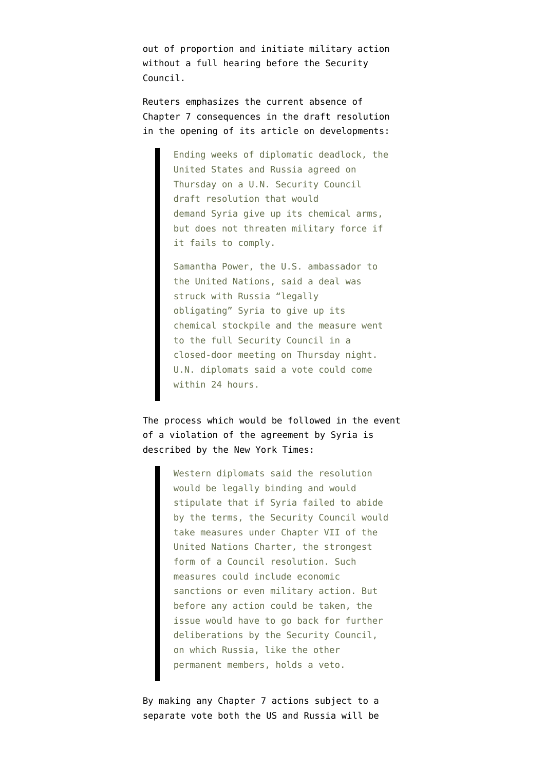out of proportion and initiate military action without a full hearing before the Security Council.

Reuters emphasizes the current [absence of](http://www.reuters.com/article/2013/09/27/us-un-assembly-syria-resolution-idUSBRE98P1AJ20130927) [Chapter 7 consequences](http://www.reuters.com/article/2013/09/27/us-un-assembly-syria-resolution-idUSBRE98P1AJ20130927) in the draft resolution in the opening of its article on developments:

> Ending weeks of diplomatic deadlock, the United States and Russia agreed on Thursday on a U.N. Security Council draft resolution that would demand Syria give up its chemical arms, but does not threaten military force if it fails to comply.

Samantha Power, the U.S. ambassador to the United Nations, said a deal was struck with Russia "legally obligating" Syria to give up its chemical stockpile and the measure went to the full Security Council in a closed-door meeting on Thursday night. U.N. diplomats said a vote could come within 24 hours.

The process which would be followed in the event of a violation of the agreement by Syria is [described by the New York Times:](http://www.nytimes.com/2013/09/27/world/middleeast/security-council-agrees-on-resolution-to-rid-syria-of-chemical-arms.html?pagewanted=all)

> Western diplomats said the resolution would be legally binding and would stipulate that if Syria failed to abide by the terms, the Security Council would take measures under Chapter VII of the United Nations Charter, the strongest form of a Council resolution. Such measures could include economic sanctions or even military action. But before any action could be taken, the issue would have to go back for further deliberations by the Security Council, on which Russia, like the other permanent members, holds a veto.

By making any Chapter 7 actions subject to a separate vote both the US and Russia will be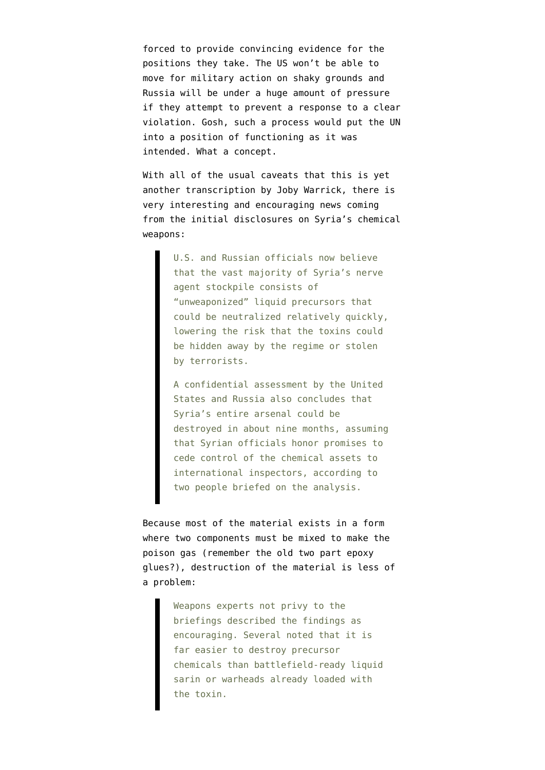forced to provide convincing evidence for the positions they take. The US won't be able to move for military action on shaky grounds and Russia will be under a huge amount of pressure if they attempt to prevent a response to a clear violation. Gosh, such a process would put the UN into a position of functioning as it was intended. What a concept.

With all of the usual caveats that this is [yet](http://www.washingtonpost.com/world/national-security/most-of-syrias-toxins-can-be-destroyed-more-easily-than-officials-initially-thought/2013/09/26/66cd1ca2-26e3-11e3-b75d-5b7f66349852_story.html) [another transcription by Joby Warrick](http://www.washingtonpost.com/world/national-security/most-of-syrias-toxins-can-be-destroyed-more-easily-than-officials-initially-thought/2013/09/26/66cd1ca2-26e3-11e3-b75d-5b7f66349852_story.html), there is very interesting and encouraging news coming from the initial disclosures on Syria's chemical weapons:

> U.S. and Russian officials now believe that the vast majority of Syria's nerve agent stockpile consists of "unweaponized" liquid precursors that could be neutralized relatively quickly, lowering the risk that the toxins could be hidden away by the regime or stolen by terrorists.

> A confidential assessment by the United States and Russia also concludes that Syria's entire arsenal could be destroyed in about nine months, assuming that Syrian officials honor promises to cede control of the chemical assets to international inspectors, according to two people briefed on the analysis.

Because most of the material exists in a form where two components must be mixed to make the poison gas (remember the old [two part epoxy](http://www.youtube.com/watch?v=dyo97JZuCL8) [glues](http://www.youtube.com/watch?v=dyo97JZuCL8)?), destruction of the material is less of a problem:

> Weapons experts not privy to the briefings described the findings as encouraging. Several noted that it is far easier to destroy precursor chemicals than battlefield-ready liquid sarin or warheads already loaded with the toxin.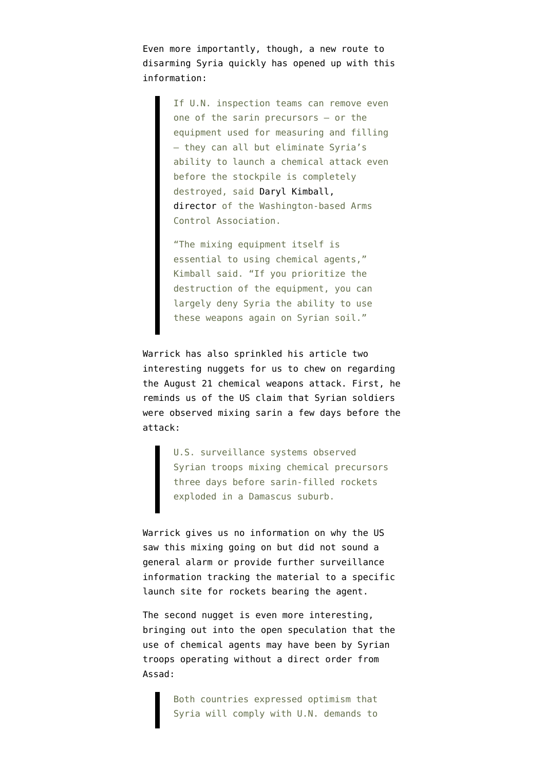Even more importantly, though, a new route to disarming Syria quickly has opened up with this information:

> If U.N. inspection teams can remove even one of the sarin precursors — or the equipment used for measuring and filling — they can all but eliminate Syria's ability to launch a chemical attack even before the stockpile is completely destroyed, said [Daryl Kimball,](http://www.armscontrol.org/about/dkimball) [director](http://www.armscontrol.org/about/dkimball) of the Washington-based Arms Control Association.

"The mixing equipment itself is essential to using chemical agents," Kimball said. "If you prioritize the destruction of the equipment, you can largely deny Syria the ability to use these weapons again on Syrian soil."

Warrick has also sprinkled his article two interesting nuggets for us to chew on regarding the August 21 chemical weapons attack. First, he reminds us of the US claim that Syrian soldiers were observed mixing sarin a few days before the attack:

> U.S. surveillance systems observed Syrian troops mixing chemical precursors three days before sarin-filled rockets exploded in a Damascus suburb.

Warrick gives us no information on why the US saw this mixing going on but did not sound a general alarm or provide further surveillance information tracking the material to a specific launch site for rockets bearing the agent.

The second nugget is even more interesting, bringing out into the open speculation that the use of chemical agents may have been by Syrian troops operating without a direct order from Assad:

> Both countries expressed optimism that Syria will comply with U.N. demands to